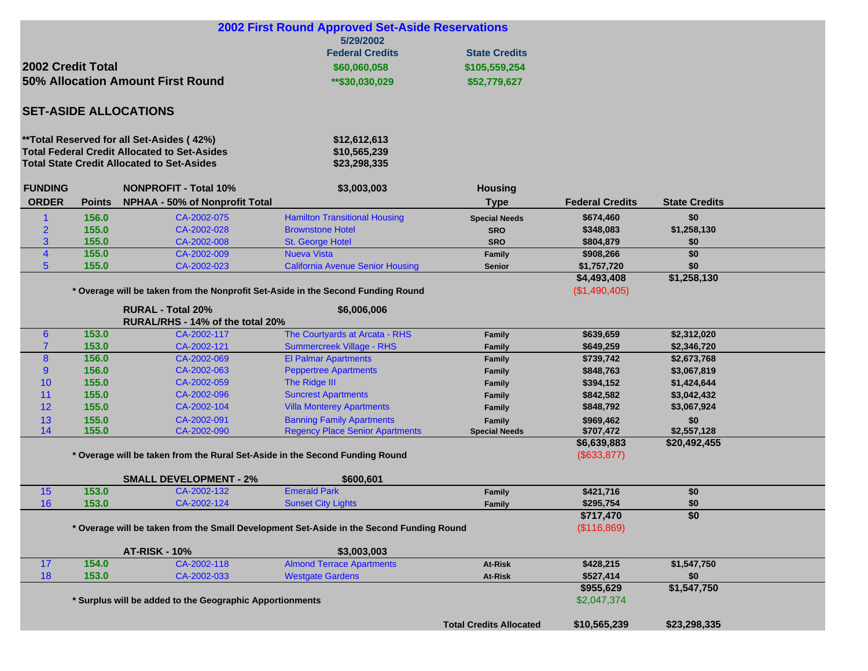| <b>2002 First Round Approved Set-Aside Reservations</b><br>5/29/2002 |                              |                                                                                          |                                         |                                |                        |                      |  |  |  |
|----------------------------------------------------------------------|------------------------------|------------------------------------------------------------------------------------------|-----------------------------------------|--------------------------------|------------------------|----------------------|--|--|--|
|                                                                      |                              |                                                                                          | <b>Federal Credits</b>                  | <b>State Credits</b>           |                        |                      |  |  |  |
| 2002 Credit Total<br>\$60,060,058                                    |                              |                                                                                          |                                         | \$105,559,254                  |                        |                      |  |  |  |
| 50% Allocation Amount First Round                                    |                              |                                                                                          |                                         |                                |                        |                      |  |  |  |
|                                                                      |                              |                                                                                          | **\$30,030,029                          | \$52,779,627                   |                        |                      |  |  |  |
| <b>SET-ASIDE ALLOCATIONS</b>                                         |                              |                                                                                          |                                         |                                |                        |                      |  |  |  |
|                                                                      |                              | **Total Reserved for all Set-Asides (42%)                                                | \$12,612,613                            |                                |                        |                      |  |  |  |
|                                                                      |                              | <b>Total Federal Credit Allocated to Set-Asides</b>                                      | \$10,565,239                            |                                |                        |                      |  |  |  |
| <b>Total State Credit Allocated to Set-Asides</b>                    |                              |                                                                                          | \$23,298,335                            |                                |                        |                      |  |  |  |
| <b>FUNDING</b>                                                       | <b>NONPROFIT - Total 10%</b> |                                                                                          | \$3,003,003                             | <b>Housing</b>                 |                        |                      |  |  |  |
| <b>ORDER</b>                                                         | <b>Points</b>                | <b>NPHAA - 50% of Nonprofit Total</b>                                                    |                                         | <b>Type</b>                    | <b>Federal Credits</b> | <b>State Credits</b> |  |  |  |
| $\mathbf 1$                                                          | 156.0                        | CA-2002-075                                                                              | <b>Hamilton Transitional Housing</b>    | <b>Special Needs</b>           | \$674,460              | \$0                  |  |  |  |
| $\overline{2}$                                                       | 155.0                        | CA-2002-028                                                                              | <b>Brownstone Hotel</b>                 | <b>SRO</b>                     | \$348,083              | \$1,258,130          |  |  |  |
| 3                                                                    | 155.0                        | CA-2002-008                                                                              | St. George Hotel                        | <b>SRO</b>                     | \$804,879              | \$0                  |  |  |  |
| $\overline{\mathbf{4}}$                                              | 155.0                        | CA-2002-009                                                                              | <b>Nueva Vista</b>                      | Family                         | \$908,266              | \$0                  |  |  |  |
| $5\phantom{.0}$                                                      | 155.0                        | CA-2002-023                                                                              | <b>California Avenue Senior Housing</b> | <b>Senior</b>                  | \$1,757,720            | \$0                  |  |  |  |
|                                                                      |                              |                                                                                          |                                         |                                | \$4,493,408            | \$1,258,130          |  |  |  |
|                                                                      |                              | * Overage will be taken from the Nonprofit Set-Aside in the Second Funding Round         |                                         |                                | (\$1,490,405)          |                      |  |  |  |
|                                                                      |                              | <b>RURAL - Total 20%</b>                                                                 | \$6,006,006                             |                                |                        |                      |  |  |  |
|                                                                      |                              | RURAL/RHS - 14% of the total 20%                                                         |                                         |                                |                        |                      |  |  |  |
| $6\phantom{1}6$                                                      | 153.0                        | CA-2002-117                                                                              | The Courtyards at Arcata - RHS          | <b>Family</b>                  | \$639,659              | \$2,312,020          |  |  |  |
| $\overline{7}$                                                       | 153.0                        | CA-2002-121                                                                              | Summercreek Village - RHS               | Family                         | \$649,259              | \$2,346,720          |  |  |  |
| 8                                                                    | 156.0                        | CA-2002-069                                                                              | <b>El Palmar Apartments</b>             | Family                         | \$739,742              | \$2,673,768          |  |  |  |
| 9                                                                    | 156.0                        | CA-2002-063                                                                              | <b>Peppertree Apartments</b>            | Family                         | \$848,763              | \$3,067,819          |  |  |  |
| 10                                                                   | 155.0                        | CA-2002-059                                                                              | The Ridge III                           | <b>Family</b>                  | \$394,152              | \$1,424,644          |  |  |  |
| 11                                                                   | 155.0                        | CA-2002-096                                                                              | <b>Suncrest Apartments</b>              | <b>Family</b>                  | \$842,582              | \$3,042,432          |  |  |  |
| 12                                                                   | 155.0                        | CA-2002-104                                                                              | <b>Villa Monterey Apartments</b>        | Family                         | \$848,792              | \$3,067,924          |  |  |  |
| 13                                                                   | 155.0                        | CA-2002-091                                                                              | <b>Banning Family Apartments</b>        | Family                         | \$969,462              | \$0                  |  |  |  |
| 14                                                                   | 155.0                        | CA-2002-090                                                                              | <b>Regency Place Senior Apartments</b>  | <b>Special Needs</b>           | \$707,472              | \$2,557,128          |  |  |  |
|                                                                      |                              |                                                                                          |                                         |                                | \$6,639,883            | \$20,492,455         |  |  |  |
|                                                                      |                              | * Overage will be taken from the Rural Set-Aside in the Second Funding Round             |                                         |                                | (\$633, 877)           |                      |  |  |  |
|                                                                      |                              | <b>SMALL DEVELOPMENT - 2%</b>                                                            | \$600,601                               |                                |                        |                      |  |  |  |
| 15                                                                   | 153.0                        | CA-2002-132                                                                              | <b>Emerald Park</b>                     | <b>Family</b>                  | \$421,716              | \$0                  |  |  |  |
| 16                                                                   | 153.0                        | CA-2002-124                                                                              | <b>Sunset City Lights</b>               | <b>Family</b>                  | \$295,754              | \$0                  |  |  |  |
|                                                                      |                              |                                                                                          |                                         |                                | \$717,470              | \$0                  |  |  |  |
|                                                                      |                              | * Overage will be taken from the Small Development Set-Aside in the Second Funding Round |                                         | (\$116,869)                    |                        |                      |  |  |  |
|                                                                      |                              | <b>AT-RISK - 10%</b>                                                                     | \$3,003,003                             |                                |                        |                      |  |  |  |
| 17                                                                   | 154.0                        | CA-2002-118                                                                              | <b>Almond Terrace Apartments</b>        | At-Risk                        | \$428,215              | \$1,547,750          |  |  |  |
| 18                                                                   | 153.0                        | CA-2002-033                                                                              | <b>Westgate Gardens</b>                 | At-Risk                        | \$527,414              | \$0                  |  |  |  |
|                                                                      |                              |                                                                                          |                                         |                                | \$955,629              | \$1,547,750          |  |  |  |
|                                                                      |                              | * Surplus will be added to the Geographic Apportionments                                 | \$2,047,374                             |                                |                        |                      |  |  |  |
|                                                                      |                              |                                                                                          |                                         |                                |                        |                      |  |  |  |
|                                                                      |                              |                                                                                          |                                         | <b>Total Credits Allocated</b> | \$10,565,239           | \$23,298,335         |  |  |  |